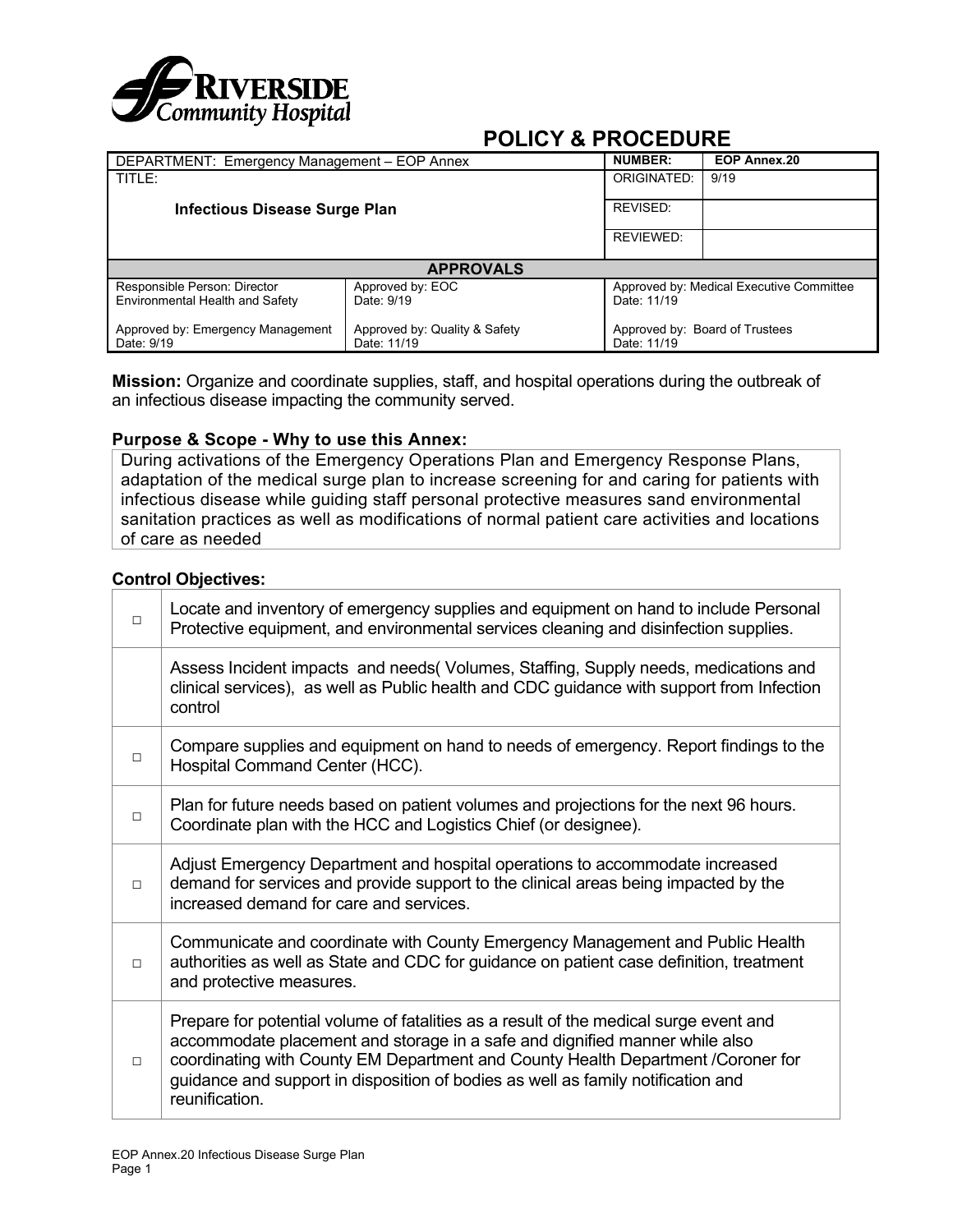

| DEPARTMENT: Emergency Management - EOP Annex                    |                                              | <b>NUMBER:</b>                                          | EOP Annex.20                   |  |
|-----------------------------------------------------------------|----------------------------------------------|---------------------------------------------------------|--------------------------------|--|
| TITLE:                                                          |                                              | ORIGINATED:                                             | 9/19                           |  |
| <b>Infectious Disease Surge Plan</b>                            | REVISED:                                     |                                                         |                                |  |
|                                                                 | REVIEWED:                                    |                                                         |                                |  |
|                                                                 | <b>APPROVALS</b>                             |                                                         |                                |  |
| Responsible Person: Director<br>Environmental Health and Safety | Approved by: EOC<br>Date: 9/19               | Approved by: Medical Executive Committee<br>Date: 11/19 |                                |  |
| Approved by: Emergency Management<br>Date: 9/19                 | Approved by: Quality & Safety<br>Date: 11/19 | Date: 11/19                                             | Approved by: Board of Trustees |  |

**Mission:** Organize and coordinate supplies, staff, and hospital operations during the outbreak of an infectious disease impacting the community served.

#### **Purpose & Scope - Why to use this Annex:**

During activations of the Emergency Operations Plan and Emergency Response Plans, adaptation of the medical surge plan to increase screening for and caring for patients with infectious disease while guiding staff personal protective measures sand environmental sanitation practices as well as modifications of normal patient care activities and locations of care as needed

#### **Control Objectives:**

| $\Box$ | Locate and inventory of emergency supplies and equipment on hand to include Personal<br>Protective equipment, and environmental services cleaning and disinfection supplies.                                                                                                                                                                                   |
|--------|----------------------------------------------------------------------------------------------------------------------------------------------------------------------------------------------------------------------------------------------------------------------------------------------------------------------------------------------------------------|
|        | Assess Incident impacts and needs (Volumes, Staffing, Supply needs, medications and<br>clinical services), as well as Public health and CDC guidance with support from Infection<br>control                                                                                                                                                                    |
| $\Box$ | Compare supplies and equipment on hand to needs of emergency. Report findings to the<br>Hospital Command Center (HCC).                                                                                                                                                                                                                                         |
| $\Box$ | Plan for future needs based on patient volumes and projections for the next 96 hours.<br>Coordinate plan with the HCC and Logistics Chief (or designee).                                                                                                                                                                                                       |
| $\Box$ | Adjust Emergency Department and hospital operations to accommodate increased<br>demand for services and provide support to the clinical areas being impacted by the<br>increased demand for care and services.                                                                                                                                                 |
| $\Box$ | Communicate and coordinate with County Emergency Management and Public Health<br>authorities as well as State and CDC for guidance on patient case definition, treatment<br>and protective measures.                                                                                                                                                           |
| $\Box$ | Prepare for potential volume of fatalities as a result of the medical surge event and<br>accommodate placement and storage in a safe and dignified manner while also<br>coordinating with County EM Department and County Health Department /Coroner for<br>guidance and support in disposition of bodies as well as family notification and<br>reunification. |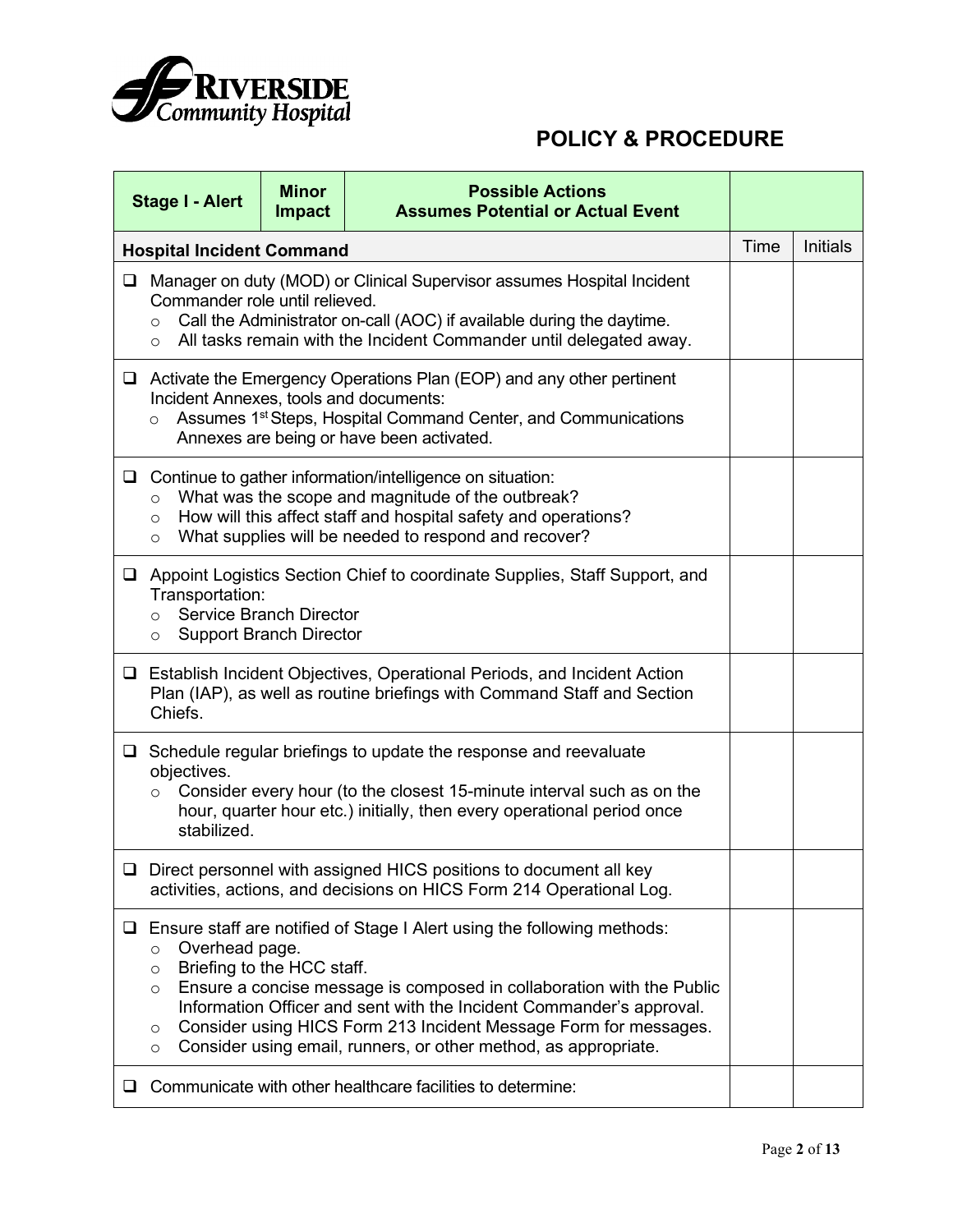

|        | <b>Minor</b><br><b>Possible Actions</b><br><b>Stage I - Alert</b><br><b>Assumes Potential or Actual Event</b><br><b>Impact</b>                                                                                                                                                   |                                                                                                                                                                                                                       |                                                                                                                                                                                                                                                                                                                                                                        |      |          |  |  |
|--------|----------------------------------------------------------------------------------------------------------------------------------------------------------------------------------------------------------------------------------------------------------------------------------|-----------------------------------------------------------------------------------------------------------------------------------------------------------------------------------------------------------------------|------------------------------------------------------------------------------------------------------------------------------------------------------------------------------------------------------------------------------------------------------------------------------------------------------------------------------------------------------------------------|------|----------|--|--|
|        | <b>Hospital Incident Command</b>                                                                                                                                                                                                                                                 |                                                                                                                                                                                                                       |                                                                                                                                                                                                                                                                                                                                                                        | Time | Initials |  |  |
| $\Box$ | Commander role until relieved.<br>$\circ$<br>$\circ$                                                                                                                                                                                                                             | Manager on duty (MOD) or Clinical Supervisor assumes Hospital Incident<br>Call the Administrator on-call (AOC) if available during the daytime.<br>All tasks remain with the Incident Commander until delegated away. |                                                                                                                                                                                                                                                                                                                                                                        |      |          |  |  |
|        | $\Box$ Activate the Emergency Operations Plan (EOP) and any other pertinent<br>Incident Annexes, tools and documents:<br>Assumes 1 <sup>st</sup> Steps, Hospital Command Center, and Communications<br>$\circ$<br>Annexes are being or have been activated.                      |                                                                                                                                                                                                                       |                                                                                                                                                                                                                                                                                                                                                                        |      |          |  |  |
|        | $\Box$ Continue to gather information/intelligence on situation:<br>What was the scope and magnitude of the outbreak?<br>$\circ$<br>How will this affect staff and hospital safety and operations?<br>$\circ$<br>What supplies will be needed to respond and recover?<br>$\circ$ |                                                                                                                                                                                                                       |                                                                                                                                                                                                                                                                                                                                                                        |      |          |  |  |
|        | □ Appoint Logistics Section Chief to coordinate Supplies, Staff Support, and<br>Transportation:<br><b>Service Branch Director</b><br>$\circ$<br><b>Support Branch Director</b><br>$\circ$                                                                                        |                                                                                                                                                                                                                       |                                                                                                                                                                                                                                                                                                                                                                        |      |          |  |  |
|        | Chiefs.                                                                                                                                                                                                                                                                          |                                                                                                                                                                                                                       | □ Establish Incident Objectives, Operational Periods, and Incident Action<br>Plan (IAP), as well as routine briefings with Command Staff and Section                                                                                                                                                                                                                   |      |          |  |  |
|        | objectives.<br>$\circ$<br>stabilized.                                                                                                                                                                                                                                            |                                                                                                                                                                                                                       | $\Box$ Schedule regular briefings to update the response and reevaluate<br>Consider every hour (to the closest 15-minute interval such as on the<br>hour, quarter hour etc.) initially, then every operational period once                                                                                                                                             |      |          |  |  |
|        |                                                                                                                                                                                                                                                                                  |                                                                                                                                                                                                                       | □ Direct personnel with assigned HICS positions to document all key<br>activities, actions, and decisions on HICS Form 214 Operational Log.                                                                                                                                                                                                                            |      |          |  |  |
|        | Overhead page.<br>$\circ$<br>Briefing to the HCC staff.<br>$\circ$<br>$\circ$<br>O<br>$\circ$                                                                                                                                                                                    |                                                                                                                                                                                                                       | $\Box$ Ensure staff are notified of Stage I Alert using the following methods:<br>Ensure a concise message is composed in collaboration with the Public<br>Information Officer and sent with the Incident Commander's approval.<br>Consider using HICS Form 213 Incident Message Form for messages.<br>Consider using email, runners, or other method, as appropriate. |      |          |  |  |
| ⊔.     |                                                                                                                                                                                                                                                                                  |                                                                                                                                                                                                                       | Communicate with other healthcare facilities to determine:                                                                                                                                                                                                                                                                                                             |      |          |  |  |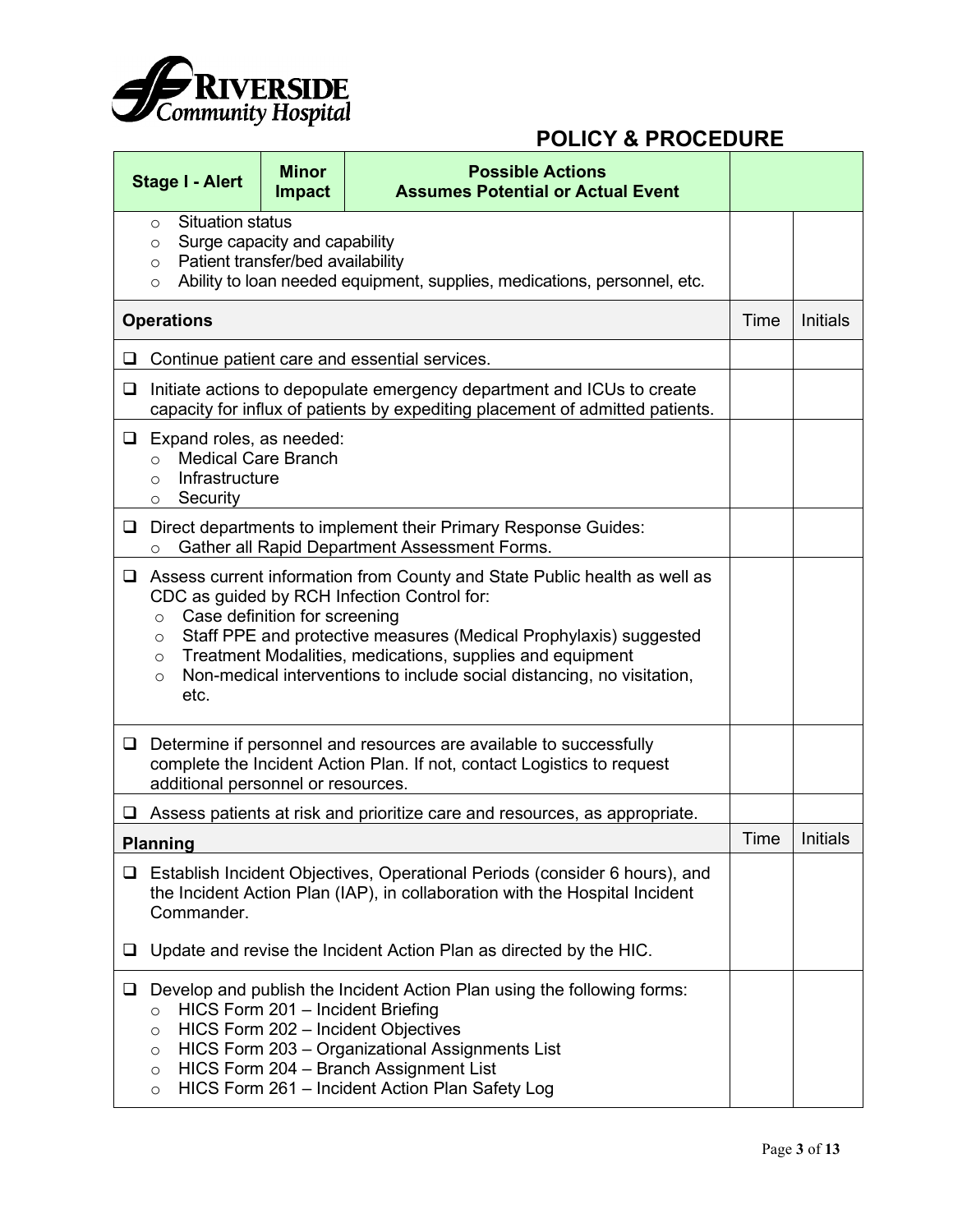

|                   | <b>Stage I - Alert</b>                                                                                                                                                                                                                                                                                                                                                                                                    | <b>Minor</b><br><b>Impact</b> | <b>Possible Actions</b><br><b>Assumes Potential or Actual Event</b>                                                                                                                                                                                                                                 |      |                 |
|-------------------|---------------------------------------------------------------------------------------------------------------------------------------------------------------------------------------------------------------------------------------------------------------------------------------------------------------------------------------------------------------------------------------------------------------------------|-------------------------------|-----------------------------------------------------------------------------------------------------------------------------------------------------------------------------------------------------------------------------------------------------------------------------------------------------|------|-----------------|
|                   | <b>Situation status</b><br>$\circ$<br>Surge capacity and capability<br>$\circ$<br>Patient transfer/bed availability<br>$\circ$<br>Ability to loan needed equipment, supplies, medications, personnel, etc.<br>$\circ$                                                                                                                                                                                                     |                               |                                                                                                                                                                                                                                                                                                     |      |                 |
| <b>Operations</b> |                                                                                                                                                                                                                                                                                                                                                                                                                           |                               |                                                                                                                                                                                                                                                                                                     |      | <b>Initials</b> |
| ⊔                 |                                                                                                                                                                                                                                                                                                                                                                                                                           |                               | Continue patient care and essential services.                                                                                                                                                                                                                                                       |      |                 |
| $\Box$            |                                                                                                                                                                                                                                                                                                                                                                                                                           |                               | Initiate actions to depopulate emergency department and ICUs to create<br>capacity for influx of patients by expediting placement of admitted patients.                                                                                                                                             |      |                 |
| □                 | Expand roles, as needed:<br><b>Medical Care Branch</b><br>$\circ$<br>Infrastructure<br>$\circ$<br>Security<br>$\circ$                                                                                                                                                                                                                                                                                                     |                               |                                                                                                                                                                                                                                                                                                     |      |                 |
| $\Box$            | $\circ$                                                                                                                                                                                                                                                                                                                                                                                                                   |                               | Direct departments to implement their Primary Response Guides:<br>Gather all Rapid Department Assessment Forms.                                                                                                                                                                                     |      |                 |
| □                 | Assess current information from County and State Public health as well as<br>CDC as guided by RCH Infection Control for:<br>Case definition for screening<br>$\circ$<br>Staff PPE and protective measures (Medical Prophylaxis) suggested<br>$\circ$<br>Treatment Modalities, medications, supplies and equipment<br>$\circ$<br>Non-medical interventions to include social distancing, no visitation,<br>$\circ$<br>etc. |                               |                                                                                                                                                                                                                                                                                                     |      |                 |
| □                 | additional personnel or resources.                                                                                                                                                                                                                                                                                                                                                                                        |                               | Determine if personnel and resources are available to successfully<br>complete the Incident Action Plan. If not, contact Logistics to request                                                                                                                                                       |      |                 |
|                   |                                                                                                                                                                                                                                                                                                                                                                                                                           |                               | Assess patients at risk and prioritize care and resources, as appropriate.                                                                                                                                                                                                                          |      |                 |
|                   | <b>Planning</b>                                                                                                                                                                                                                                                                                                                                                                                                           |                               |                                                                                                                                                                                                                                                                                                     | Time | Initials        |
| $\Box$            | Commander.                                                                                                                                                                                                                                                                                                                                                                                                                |                               | Establish Incident Objectives, Operational Periods (consider 6 hours), and<br>the Incident Action Plan (IAP), in collaboration with the Hospital Incident                                                                                                                                           |      |                 |
| ⊔                 | Update and revise the Incident Action Plan as directed by the HIC.                                                                                                                                                                                                                                                                                                                                                        |                               |                                                                                                                                                                                                                                                                                                     |      |                 |
| ⊔                 | $\circ$<br>$\circ$<br>$\circ$<br>$\circ$<br>$\circ$                                                                                                                                                                                                                                                                                                                                                                       |                               | Develop and publish the Incident Action Plan using the following forms:<br>HICS Form 201 - Incident Briefing<br>HICS Form 202 - Incident Objectives<br>HICS Form 203 - Organizational Assignments List<br>HICS Form 204 - Branch Assignment List<br>HICS Form 261 - Incident Action Plan Safety Log |      |                 |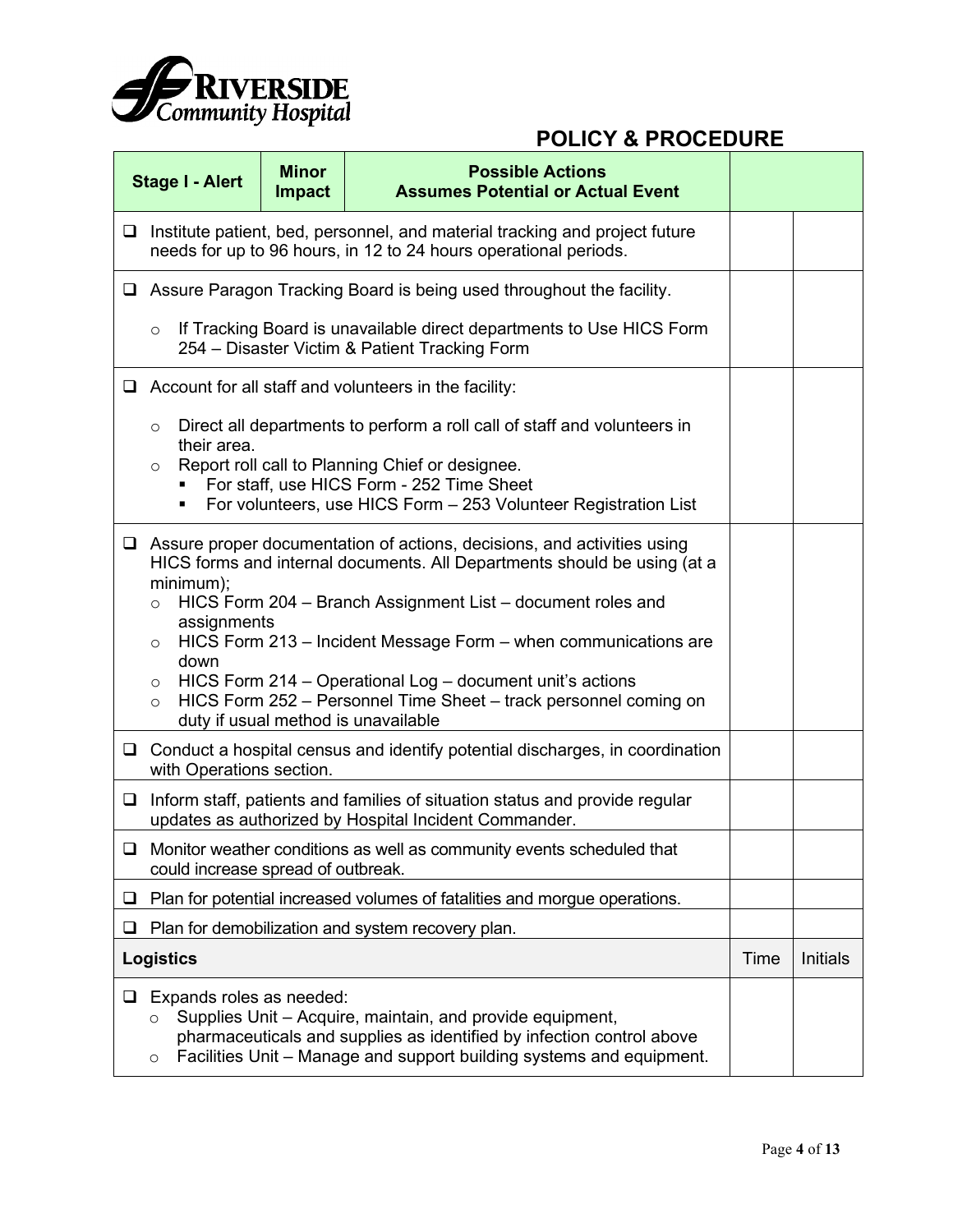

|        | <b>Stage I - Alert</b>                                                                                                                                                                                                                                                                                                                                                                                                                                                                                                                               | <b>Minor</b><br><b>Impact</b> | <b>Possible Actions</b><br><b>Assumes Potential or Actual Event</b>                                                                             |      |                 |  |
|--------|------------------------------------------------------------------------------------------------------------------------------------------------------------------------------------------------------------------------------------------------------------------------------------------------------------------------------------------------------------------------------------------------------------------------------------------------------------------------------------------------------------------------------------------------------|-------------------------------|-------------------------------------------------------------------------------------------------------------------------------------------------|------|-----------------|--|
| $\Box$ |                                                                                                                                                                                                                                                                                                                                                                                                                                                                                                                                                      |                               | Institute patient, bed, personnel, and material tracking and project future<br>needs for up to 96 hours, in 12 to 24 hours operational periods. |      |                 |  |
|        | $\Box$ Assure Paragon Tracking Board is being used throughout the facility.                                                                                                                                                                                                                                                                                                                                                                                                                                                                          |                               |                                                                                                                                                 |      |                 |  |
|        | $\circ$                                                                                                                                                                                                                                                                                                                                                                                                                                                                                                                                              |                               | If Tracking Board is unavailable direct departments to Use HICS Form<br>254 - Disaster Victim & Patient Tracking Form                           |      |                 |  |
|        |                                                                                                                                                                                                                                                                                                                                                                                                                                                                                                                                                      |                               | $\Box$ Account for all staff and volunteers in the facility:                                                                                    |      |                 |  |
|        | Direct all departments to perform a roll call of staff and volunteers in<br>$\circ$<br>their area.<br>Report roll call to Planning Chief or designee.<br>$\circ$<br>For staff, use HICS Form - 252 Time Sheet<br>For volunteers, use HICS Form - 253 Volunteer Registration List                                                                                                                                                                                                                                                                     |                               |                                                                                                                                                 |      |                 |  |
|        | $\Box$ Assure proper documentation of actions, decisions, and activities using<br>HICS forms and internal documents. All Departments should be using (at a<br>minimum);<br>HICS Form 204 - Branch Assignment List - document roles and<br>$\circ$<br>assignments<br>HICS Form 213 - Incident Message Form - when communications are<br>$\circ$<br>down<br>HICS Form 214 - Operational Log - document unit's actions<br>$\circ$<br>HICS Form 252 - Personnel Time Sheet - track personnel coming on<br>$\circ$<br>duty if usual method is unavailable |                               |                                                                                                                                                 |      |                 |  |
|        | with Operations section.                                                                                                                                                                                                                                                                                                                                                                                                                                                                                                                             |                               | $\Box$ Conduct a hospital census and identify potential discharges, in coordination                                                             |      |                 |  |
| $\Box$ |                                                                                                                                                                                                                                                                                                                                                                                                                                                                                                                                                      |                               | Inform staff, patients and families of situation status and provide regular<br>updates as authorized by Hospital Incident Commander.            |      |                 |  |
|        | could increase spread of outbreak.                                                                                                                                                                                                                                                                                                                                                                                                                                                                                                                   |                               | Monitor weather conditions as well as community events scheduled that                                                                           |      |                 |  |
| ப      |                                                                                                                                                                                                                                                                                                                                                                                                                                                                                                                                                      |                               | Plan for potential increased volumes of fatalities and morgue operations.                                                                       |      |                 |  |
| ⊔      |                                                                                                                                                                                                                                                                                                                                                                                                                                                                                                                                                      |                               | Plan for demobilization and system recovery plan.                                                                                               |      |                 |  |
|        | <b>Logistics</b>                                                                                                                                                                                                                                                                                                                                                                                                                                                                                                                                     |                               |                                                                                                                                                 | Time | <b>Initials</b> |  |
| ⊔      | Expands roles as needed:<br>Supplies Unit - Acquire, maintain, and provide equipment,<br>O<br>pharmaceuticals and supplies as identified by infection control above<br>Facilities Unit – Manage and support building systems and equipment.<br>O                                                                                                                                                                                                                                                                                                     |                               |                                                                                                                                                 |      |                 |  |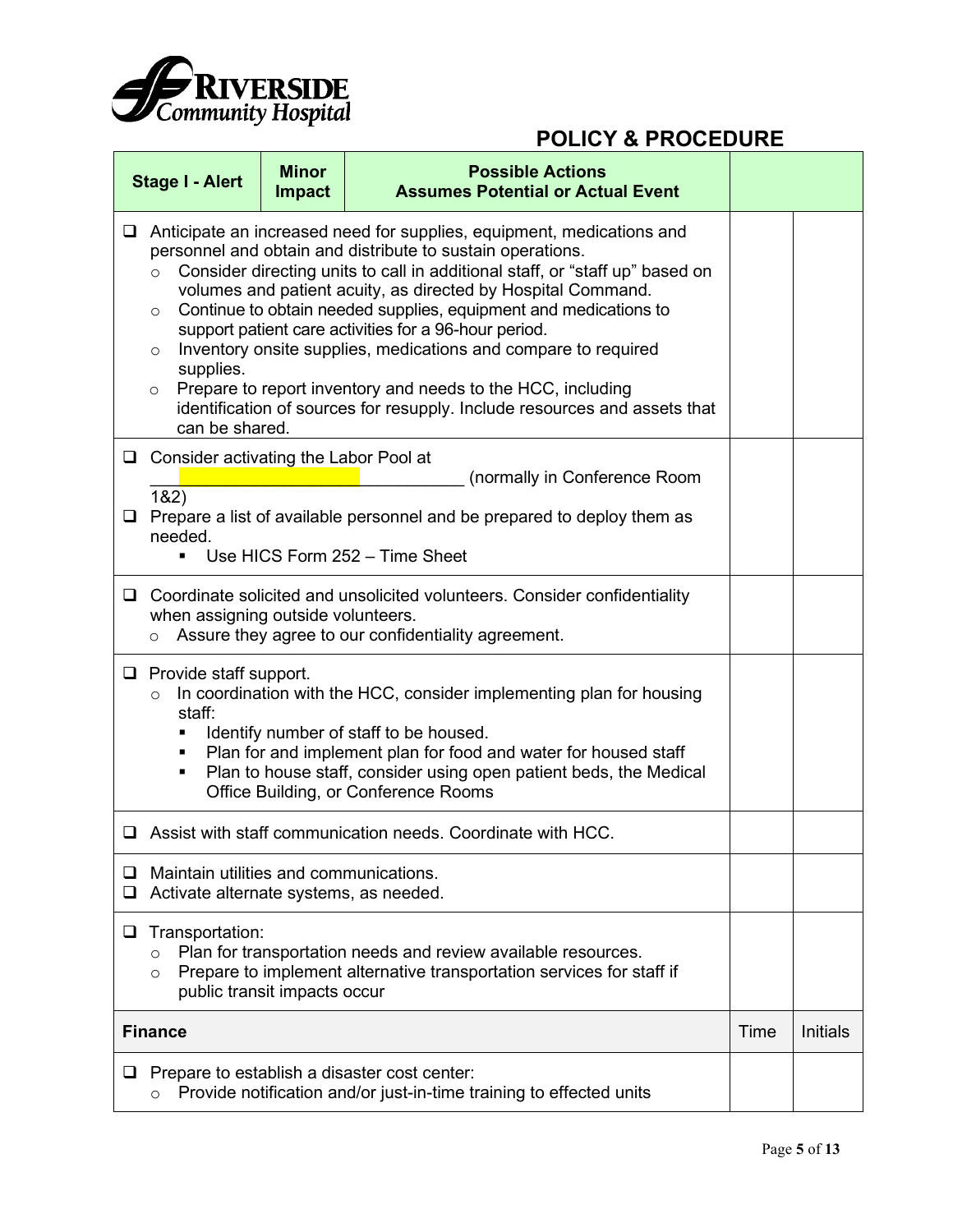

|        | <b>Stage I - Alert</b>                                                                                                                                                                                                                                                                                                                                                                                                                                                                                                                                                                                                                                                                                    | <b>Minor</b><br><b>Impact</b> | <b>Possible Actions</b><br><b>Assumes Potential or Actual Event</b>                                                                |      |                 |  |  |
|--------|-----------------------------------------------------------------------------------------------------------------------------------------------------------------------------------------------------------------------------------------------------------------------------------------------------------------------------------------------------------------------------------------------------------------------------------------------------------------------------------------------------------------------------------------------------------------------------------------------------------------------------------------------------------------------------------------------------------|-------------------------------|------------------------------------------------------------------------------------------------------------------------------------|------|-----------------|--|--|
| $\Box$ | Anticipate an increased need for supplies, equipment, medications and<br>personnel and obtain and distribute to sustain operations.<br>Consider directing units to call in additional staff, or "staff up" based on<br>$\circ$<br>volumes and patient acuity, as directed by Hospital Command.<br>Continue to obtain needed supplies, equipment and medications to<br>$\circ$<br>support patient care activities for a 96-hour period.<br>Inventory onsite supplies, medications and compare to required<br>$\circ$<br>supplies.<br>Prepare to report inventory and needs to the HCC, including<br>$\circ$<br>identification of sources for resupply. Include resources and assets that<br>can be shared. |                               |                                                                                                                                    |      |                 |  |  |
|        | $\Box$ Consider activating the Labor Pool at                                                                                                                                                                                                                                                                                                                                                                                                                                                                                                                                                                                                                                                              |                               | (normally in Conference Room                                                                                                       |      |                 |  |  |
| $\Box$ | 182)<br>Prepare a list of available personnel and be prepared to deploy them as<br>needed.<br>Use HICS Form 252 - Time Sheet                                                                                                                                                                                                                                                                                                                                                                                                                                                                                                                                                                              |                               |                                                                                                                                    |      |                 |  |  |
|        | when assigning outside volunteers.<br>$\circ$                                                                                                                                                                                                                                                                                                                                                                                                                                                                                                                                                                                                                                                             |                               | □ Coordinate solicited and unsolicited volunteers. Consider confidentiality<br>Assure they agree to our confidentiality agreement. |      |                 |  |  |
|        | $\Box$ Provide staff support.<br>In coordination with the HCC, consider implementing plan for housing<br>$\circ$<br>staff:<br>Identify number of staff to be housed.<br>٠<br>Plan for and implement plan for food and water for housed staff<br>٠<br>Plan to house staff, consider using open patient beds, the Medical<br>٠<br>Office Building, or Conference Rooms                                                                                                                                                                                                                                                                                                                                      |                               |                                                                                                                                    |      |                 |  |  |
|        |                                                                                                                                                                                                                                                                                                                                                                                                                                                                                                                                                                                                                                                                                                           |                               | $\Box$ Assist with staff communication needs. Coordinate with HCC.                                                                 |      |                 |  |  |
| ❏<br>❏ | Maintain utilities and communications.<br>Activate alternate systems, as needed.                                                                                                                                                                                                                                                                                                                                                                                                                                                                                                                                                                                                                          |                               |                                                                                                                                    |      |                 |  |  |
| ❏      | Transportation:<br>Plan for transportation needs and review available resources.<br>$\circ$<br>Prepare to implement alternative transportation services for staff if<br>$\circ$<br>public transit impacts occur                                                                                                                                                                                                                                                                                                                                                                                                                                                                                           |                               |                                                                                                                                    |      |                 |  |  |
|        | <b>Finance</b>                                                                                                                                                                                                                                                                                                                                                                                                                                                                                                                                                                                                                                                                                            |                               |                                                                                                                                    | Time | <b>Initials</b> |  |  |
| ⊔      | O                                                                                                                                                                                                                                                                                                                                                                                                                                                                                                                                                                                                                                                                                                         |                               | Prepare to establish a disaster cost center:<br>Provide notification and/or just-in-time training to effected units                |      |                 |  |  |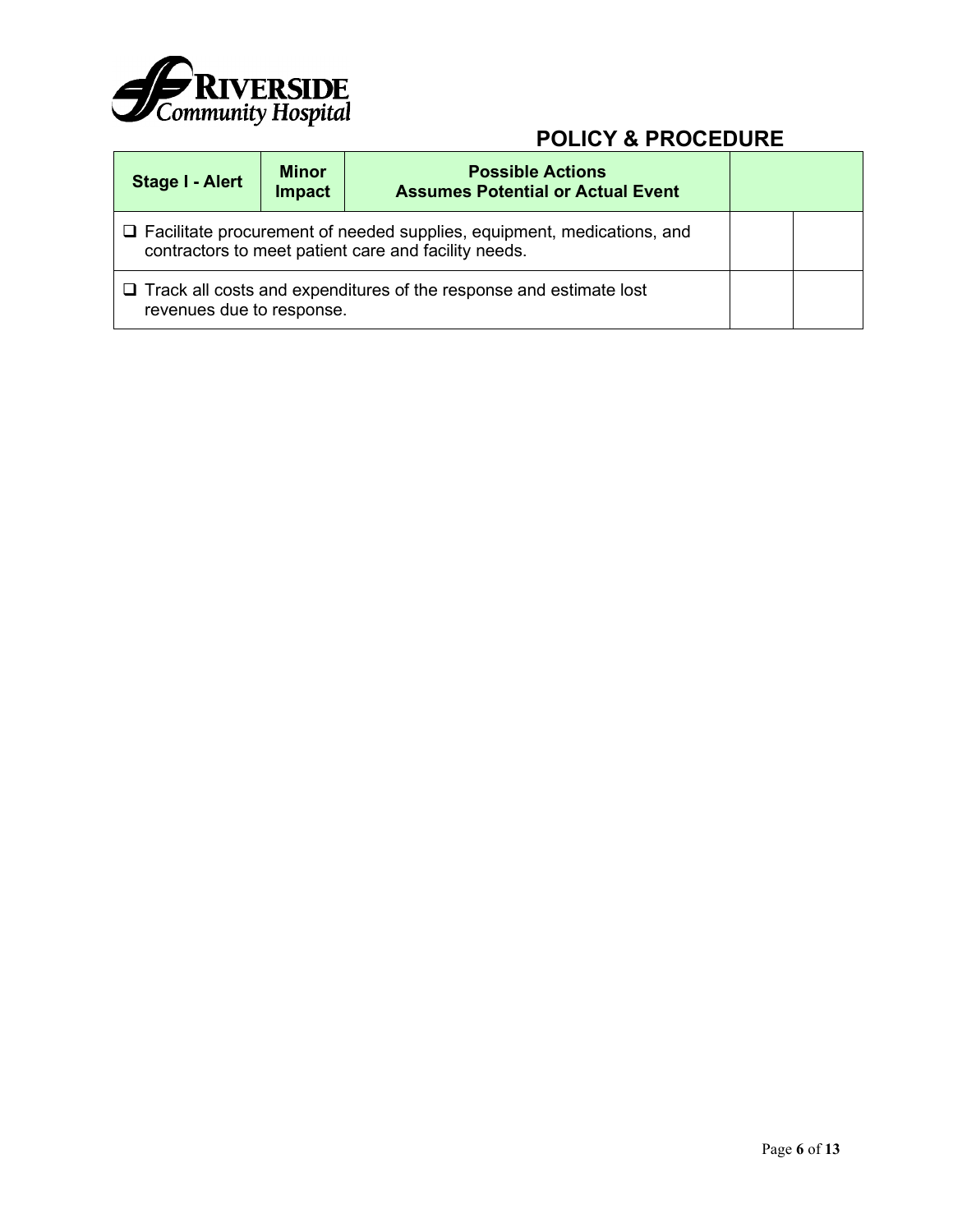

| <b>Stage I - Alert</b>                                                                                                                | <b>Minor</b><br><b>Impact</b> | <b>Possible Actions</b><br><b>Assumes Potential or Actual Event</b> |  |  |  |
|---------------------------------------------------------------------------------------------------------------------------------------|-------------------------------|---------------------------------------------------------------------|--|--|--|
| $\Box$ Facilitate procurement of needed supplies, equipment, medications, and<br>contractors to meet patient care and facility needs. |                               |                                                                     |  |  |  |
| $\Box$ Track all costs and expenditures of the response and estimate lost<br>revenues due to response.                                |                               |                                                                     |  |  |  |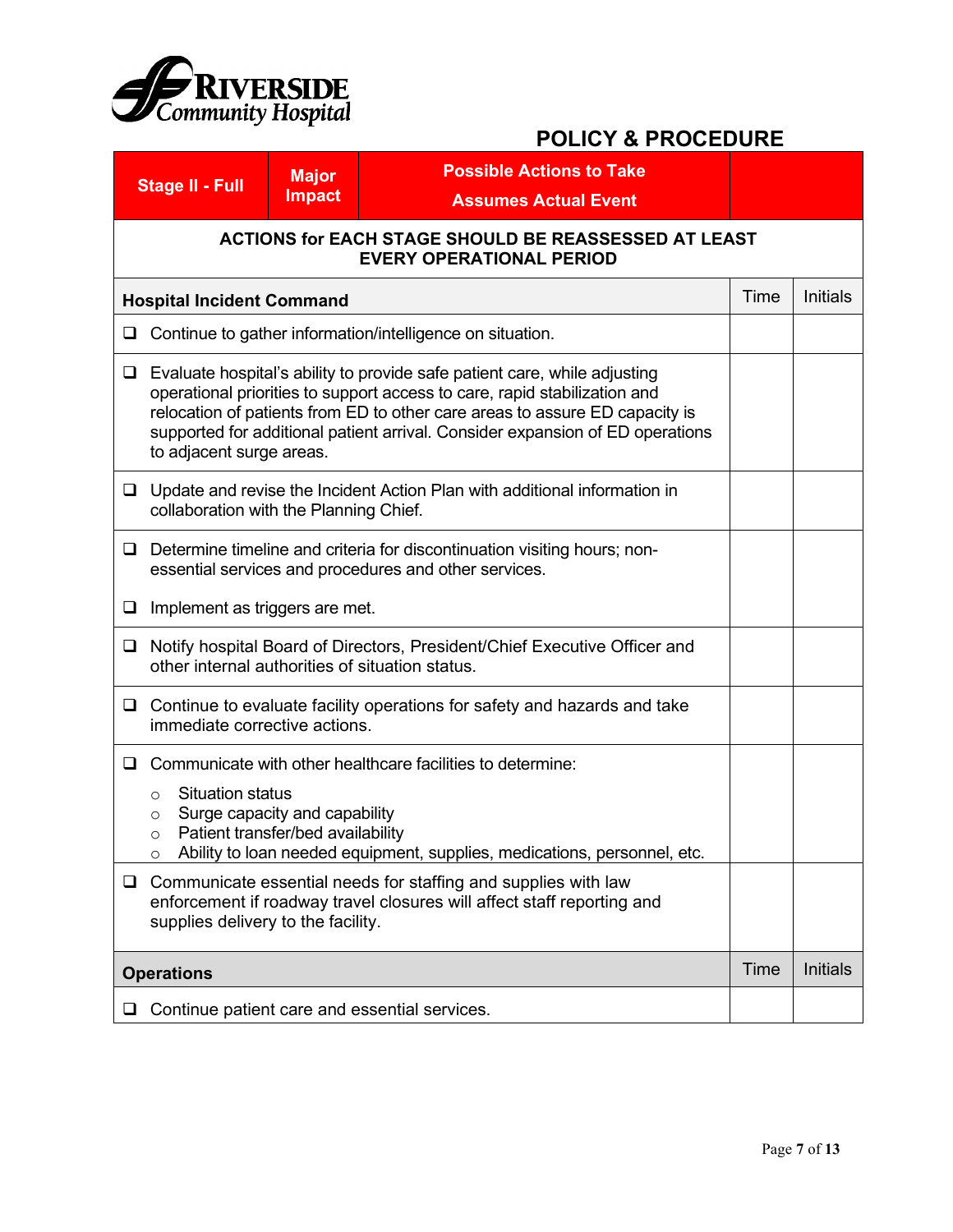

|        | <b>Stage II - Full</b>                                                                                                                                                                                                                                                                                                                             | <b>Major</b><br><b>Impact</b>                             | <b>Possible Actions to Take</b><br><b>Assumes Actual Event</b>                                                                    |      |                 |  |  |
|--------|----------------------------------------------------------------------------------------------------------------------------------------------------------------------------------------------------------------------------------------------------------------------------------------------------------------------------------------------------|-----------------------------------------------------------|-----------------------------------------------------------------------------------------------------------------------------------|------|-----------------|--|--|
|        | ACTIONS for EACH STAGE SHOULD BE REASSESSED AT LEAST<br><b>EVERY OPERATIONAL PERIOD</b>                                                                                                                                                                                                                                                            |                                                           |                                                                                                                                   |      |                 |  |  |
|        | <b>Hospital Incident Command</b>                                                                                                                                                                                                                                                                                                                   |                                                           |                                                                                                                                   | Time | Initials        |  |  |
| ❏      |                                                                                                                                                                                                                                                                                                                                                    | Continue to gather information/intelligence on situation. |                                                                                                                                   |      |                 |  |  |
| Q.     | Evaluate hospital's ability to provide safe patient care, while adjusting<br>operational priorities to support access to care, rapid stabilization and<br>relocation of patients from ED to other care areas to assure ED capacity is<br>supported for additional patient arrival. Consider expansion of ED operations<br>to adjacent surge areas. |                                                           |                                                                                                                                   |      |                 |  |  |
| $\Box$ | collaboration with the Planning Chief.                                                                                                                                                                                                                                                                                                             |                                                           | Update and revise the Incident Action Plan with additional information in                                                         |      |                 |  |  |
| ⊔      |                                                                                                                                                                                                                                                                                                                                                    |                                                           | Determine timeline and criteria for discontinuation visiting hours; non-<br>essential services and procedures and other services. |      |                 |  |  |
| Q.     | Implement as triggers are met.                                                                                                                                                                                                                                                                                                                     |                                                           |                                                                                                                                   |      |                 |  |  |
| ❏      |                                                                                                                                                                                                                                                                                                                                                    |                                                           | Notify hospital Board of Directors, President/Chief Executive Officer and<br>other internal authorities of situation status.      |      |                 |  |  |
| ❏      | immediate corrective actions.                                                                                                                                                                                                                                                                                                                      |                                                           | Continue to evaluate facility operations for safety and hazards and take                                                          |      |                 |  |  |
| ❏      | Communicate with other healthcare facilities to determine:<br><b>Situation status</b><br>$\circ$<br>Surge capacity and capability<br>$\circ$<br>Patient transfer/bed availability<br>$\circ$<br>Ability to loan needed equipment, supplies, medications, personnel, etc.                                                                           |                                                           |                                                                                                                                   |      |                 |  |  |
| $\Box$ | Communicate essential needs for staffing and supplies with law<br>enforcement if roadway travel closures will affect staff reporting and<br>supplies delivery to the facility.                                                                                                                                                                     |                                                           |                                                                                                                                   |      |                 |  |  |
|        | <b>Operations</b>                                                                                                                                                                                                                                                                                                                                  |                                                           |                                                                                                                                   | Time | <b>Initials</b> |  |  |
| ⊔      |                                                                                                                                                                                                                                                                                                                                                    |                                                           | Continue patient care and essential services.                                                                                     |      |                 |  |  |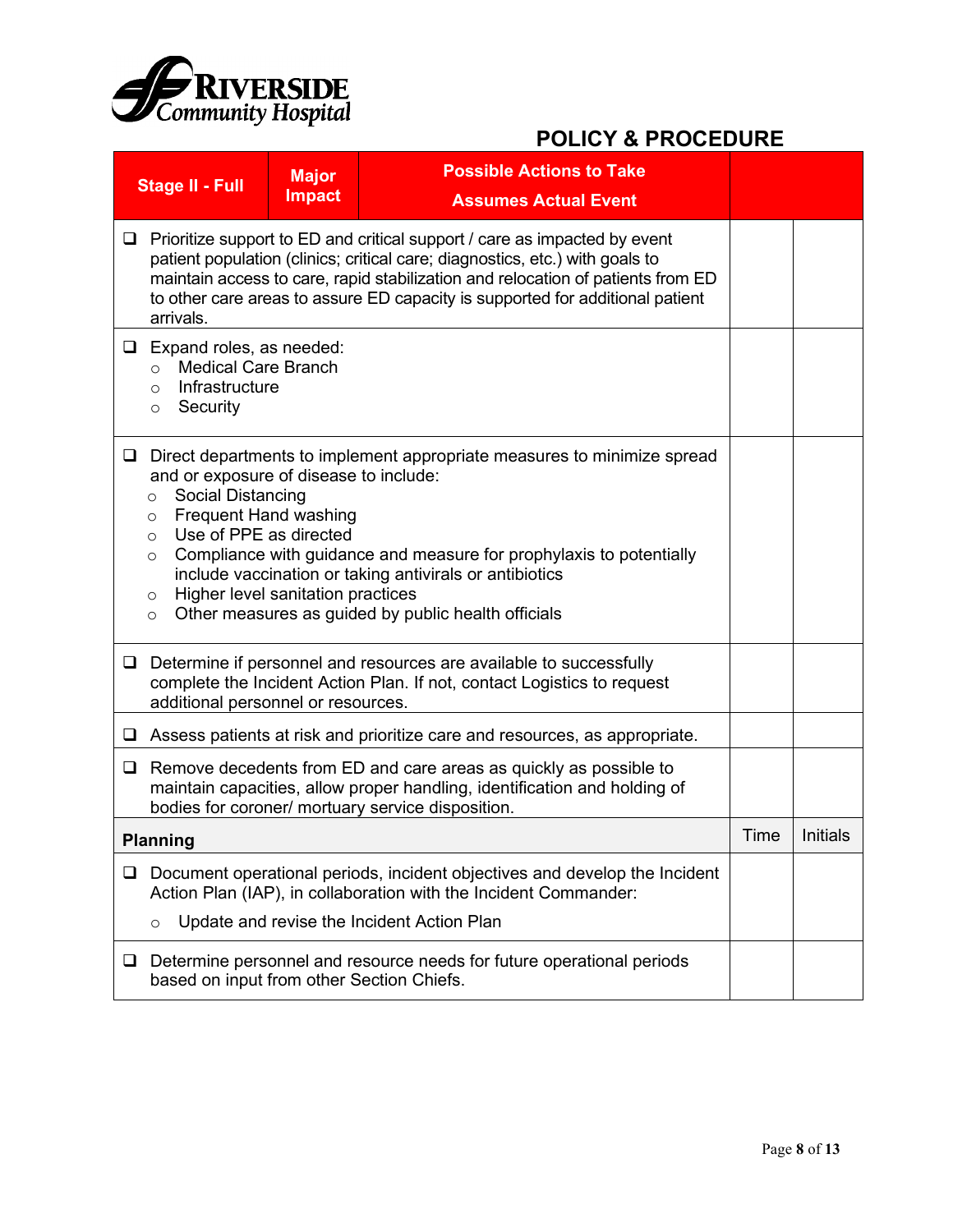

|        | <b>Stage II - Full</b>                                                                                                                                                                                                                                                                                                                                                                                                                                                                                  | <b>Major</b><br><b>Impact</b> | <b>Possible Actions to Take</b><br><b>Assumes Actual Event</b>                                                                                                                               |      |          |  |
|--------|---------------------------------------------------------------------------------------------------------------------------------------------------------------------------------------------------------------------------------------------------------------------------------------------------------------------------------------------------------------------------------------------------------------------------------------------------------------------------------------------------------|-------------------------------|----------------------------------------------------------------------------------------------------------------------------------------------------------------------------------------------|------|----------|--|
| Q.     | Prioritize support to ED and critical support / care as impacted by event<br>patient population (clinics; critical care; diagnostics, etc.) with goals to<br>maintain access to care, rapid stabilization and relocation of patients from ED<br>to other care areas to assure ED capacity is supported for additional patient<br>arrivals.                                                                                                                                                              |                               |                                                                                                                                                                                              |      |          |  |
|        | $\Box$ Expand roles, as needed:<br><b>Medical Care Branch</b><br>$\circ$<br>Infrastructure<br>$\Omega$<br>Security<br>$\circ$                                                                                                                                                                                                                                                                                                                                                                           |                               |                                                                                                                                                                                              |      |          |  |
| $\Box$ | Direct departments to implement appropriate measures to minimize spread<br>and or exposure of disease to include:<br><b>Social Distancing</b><br>$\circ$<br><b>Frequent Hand washing</b><br>$\circ$<br>Use of PPE as directed<br>$\circ$<br>Compliance with guidance and measure for prophylaxis to potentially<br>$\circ$<br>include vaccination or taking antivirals or antibiotics<br>Higher level sanitation practices<br>$\circ$<br>Other measures as guided by public health officials<br>$\circ$ |                               |                                                                                                                                                                                              |      |          |  |
| □      | additional personnel or resources.                                                                                                                                                                                                                                                                                                                                                                                                                                                                      |                               | Determine if personnel and resources are available to successfully<br>complete the Incident Action Plan. If not, contact Logistics to request                                                |      |          |  |
|        |                                                                                                                                                                                                                                                                                                                                                                                                                                                                                                         |                               | $\Box$ Assess patients at risk and prioritize care and resources, as appropriate.                                                                                                            |      |          |  |
|        | $\Box$ Remove decedents from ED and care areas as quickly as possible to<br>maintain capacities, allow proper handling, identification and holding of<br>bodies for coroner/ mortuary service disposition.                                                                                                                                                                                                                                                                                              |                               |                                                                                                                                                                                              |      |          |  |
|        | Planning                                                                                                                                                                                                                                                                                                                                                                                                                                                                                                |                               |                                                                                                                                                                                              | Time | Initials |  |
| $\Box$ | O                                                                                                                                                                                                                                                                                                                                                                                                                                                                                                       |                               | Document operational periods, incident objectives and develop the Incident<br>Action Plan (IAP), in collaboration with the Incident Commander:<br>Update and revise the Incident Action Plan |      |          |  |
| ⊔      | based on input from other Section Chiefs.                                                                                                                                                                                                                                                                                                                                                                                                                                                               |                               | Determine personnel and resource needs for future operational periods                                                                                                                        |      |          |  |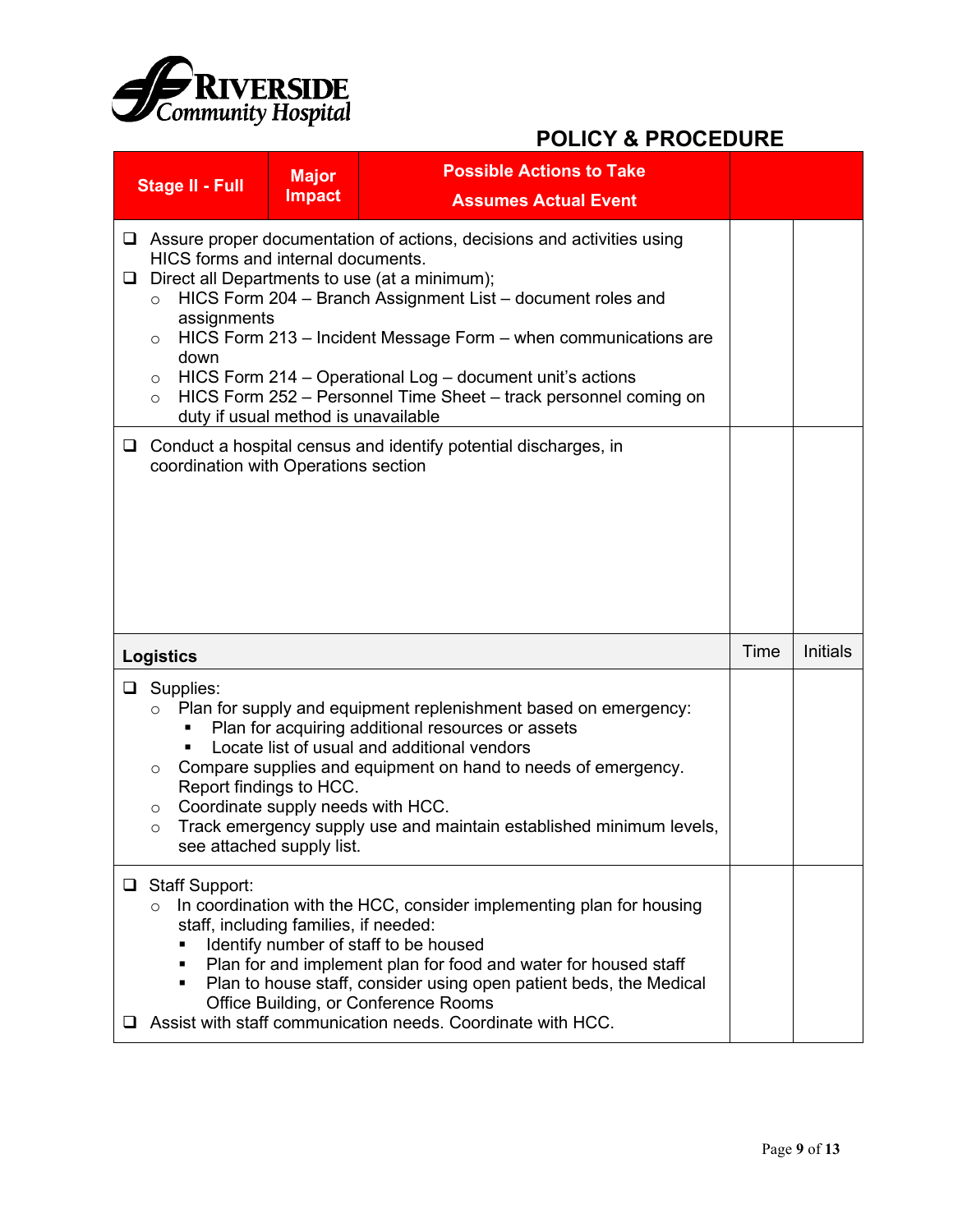

|                                                                                                                                                                                                                                                                                                                                                                                                                                                                                                                                                                                                                                                                        | <b>Major</b><br><b>Stage II - Full</b><br><b>Impact</b>                                                                                                                                                                                                                                                                                                                                                                                                       |  | <b>Possible Actions to Take</b><br><b>Assumes Actual Event</b> |      |          |
|------------------------------------------------------------------------------------------------------------------------------------------------------------------------------------------------------------------------------------------------------------------------------------------------------------------------------------------------------------------------------------------------------------------------------------------------------------------------------------------------------------------------------------------------------------------------------------------------------------------------------------------------------------------------|---------------------------------------------------------------------------------------------------------------------------------------------------------------------------------------------------------------------------------------------------------------------------------------------------------------------------------------------------------------------------------------------------------------------------------------------------------------|--|----------------------------------------------------------------|------|----------|
| $\Box$ Assure proper documentation of actions, decisions and activities using<br>HICS forms and internal documents.<br>Direct all Departments to use (at a minimum);<br>□<br>HICS Form 204 - Branch Assignment List - document roles and<br>$\circ$<br>assignments<br>HICS Form 213 - Incident Message Form - when communications are<br>$\circ$<br>down<br>HICS Form 214 - Operational Log - document unit's actions<br>$\circ$<br>HICS Form 252 - Personnel Time Sheet - track personnel coming on<br>$\circ$<br>duty if usual method is unavailable<br>Conduct a hospital census and identify potential discharges, in<br>□<br>coordination with Operations section |                                                                                                                                                                                                                                                                                                                                                                                                                                                               |  |                                                                |      |          |
|                                                                                                                                                                                                                                                                                                                                                                                                                                                                                                                                                                                                                                                                        | <b>Logistics</b>                                                                                                                                                                                                                                                                                                                                                                                                                                              |  |                                                                | Time | Initials |
|                                                                                                                                                                                                                                                                                                                                                                                                                                                                                                                                                                                                                                                                        | $\Box$ Supplies:<br>Plan for supply and equipment replenishment based on emergency:<br>Plan for acquiring additional resources or assets<br>Locate list of usual and additional vendors<br>Compare supplies and equipment on hand to needs of emergency.<br>$\circ$<br>Report findings to HCC.<br>Coordinate supply needs with HCC.<br>$\circ$<br>Track emergency supply use and maintain established minimum levels,<br>$\circ$<br>see attached supply list. |  |                                                                |      |          |
| □<br>⊔                                                                                                                                                                                                                                                                                                                                                                                                                                                                                                                                                                                                                                                                 | <b>Staff Support:</b><br>In coordination with the HCC, consider implementing plan for housing<br>$\circ$<br>staff, including families, if needed:<br>Identify number of staff to be housed<br>Plan for and implement plan for food and water for housed staff<br>п<br>Plan to house staff, consider using open patient beds, the Medical<br>٠<br>Office Building, or Conference Rooms<br>Assist with staff communication needs. Coordinate with HCC.          |  |                                                                |      |          |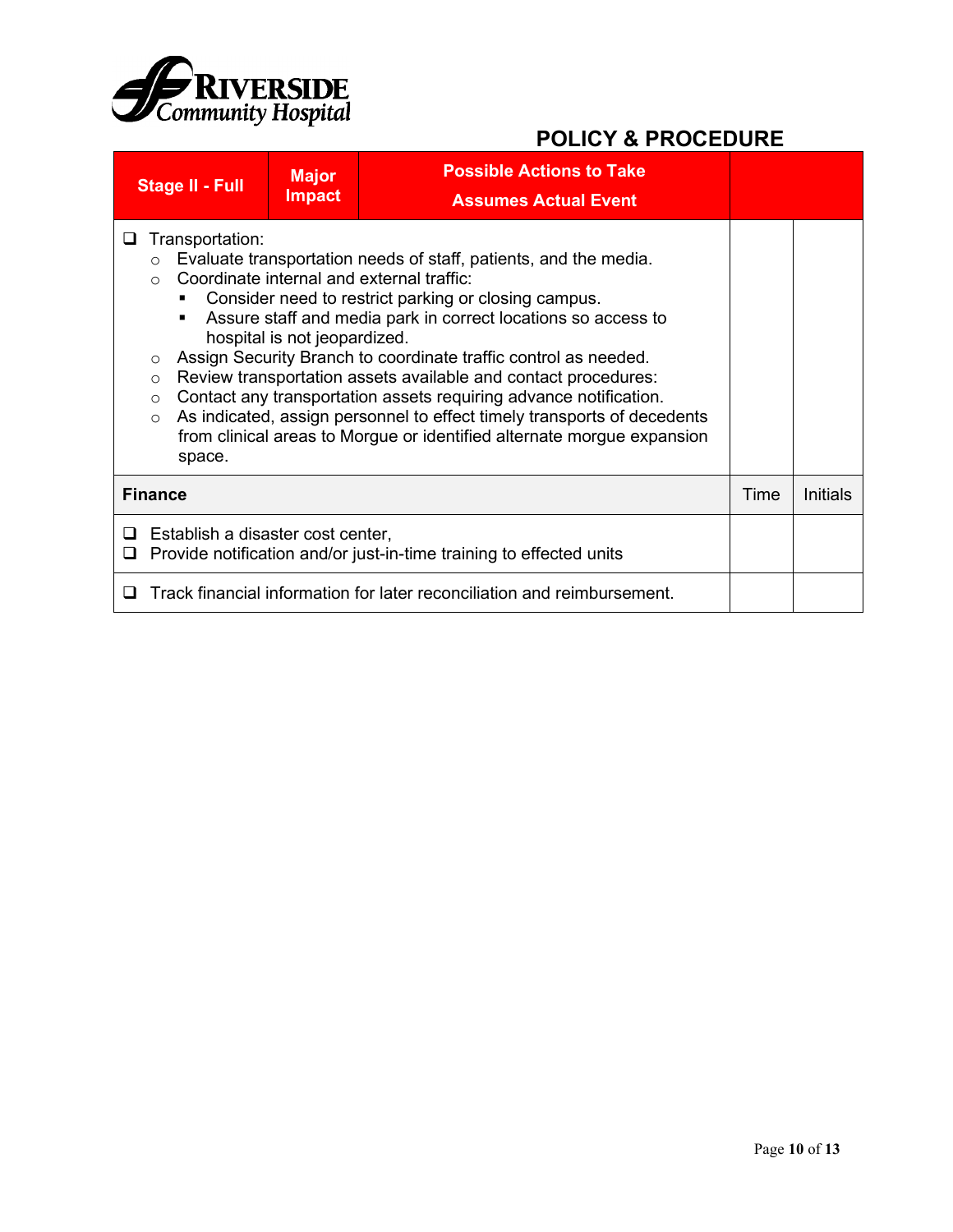

|        | Stage II - Full                                                                                                                                                                                                                                                                                                                                                                                                                                                                                                                                                                                                                                                                                                                        | <b>Major</b><br><b>Impact</b> | <b>Possible Actions to Take</b><br><b>Assumes Actual Event</b>          |      |                 |
|--------|----------------------------------------------------------------------------------------------------------------------------------------------------------------------------------------------------------------------------------------------------------------------------------------------------------------------------------------------------------------------------------------------------------------------------------------------------------------------------------------------------------------------------------------------------------------------------------------------------------------------------------------------------------------------------------------------------------------------------------------|-------------------------------|-------------------------------------------------------------------------|------|-----------------|
| ⊔      | Transportation:<br>Evaluate transportation needs of staff, patients, and the media.<br>$\circ$<br>Coordinate internal and external traffic:<br>$\bigcap$<br>Consider need to restrict parking or closing campus.<br>Assure staff and media park in correct locations so access to<br>hospital is not jeopardized.<br>Assign Security Branch to coordinate traffic control as needed.<br>$\circ$<br>Review transportation assets available and contact procedures:<br>$\circ$<br>Contact any transportation assets requiring advance notification.<br>$\circ$<br>As indicated, assign personnel to effect timely transports of decedents<br>$\circ$<br>from clinical areas to Morgue or identified alternate morgue expansion<br>space. |                               |                                                                         |      |                 |
|        | <b>Finance</b>                                                                                                                                                                                                                                                                                                                                                                                                                                                                                                                                                                                                                                                                                                                         |                               |                                                                         | Time | <b>Initials</b> |
| ❏<br>❏ | Establish a disaster cost center,<br>Provide notification and/or just-in-time training to effected units                                                                                                                                                                                                                                                                                                                                                                                                                                                                                                                                                                                                                               |                               |                                                                         |      |                 |
| ப      |                                                                                                                                                                                                                                                                                                                                                                                                                                                                                                                                                                                                                                                                                                                                        |                               | Track financial information for later reconciliation and reimbursement. |      |                 |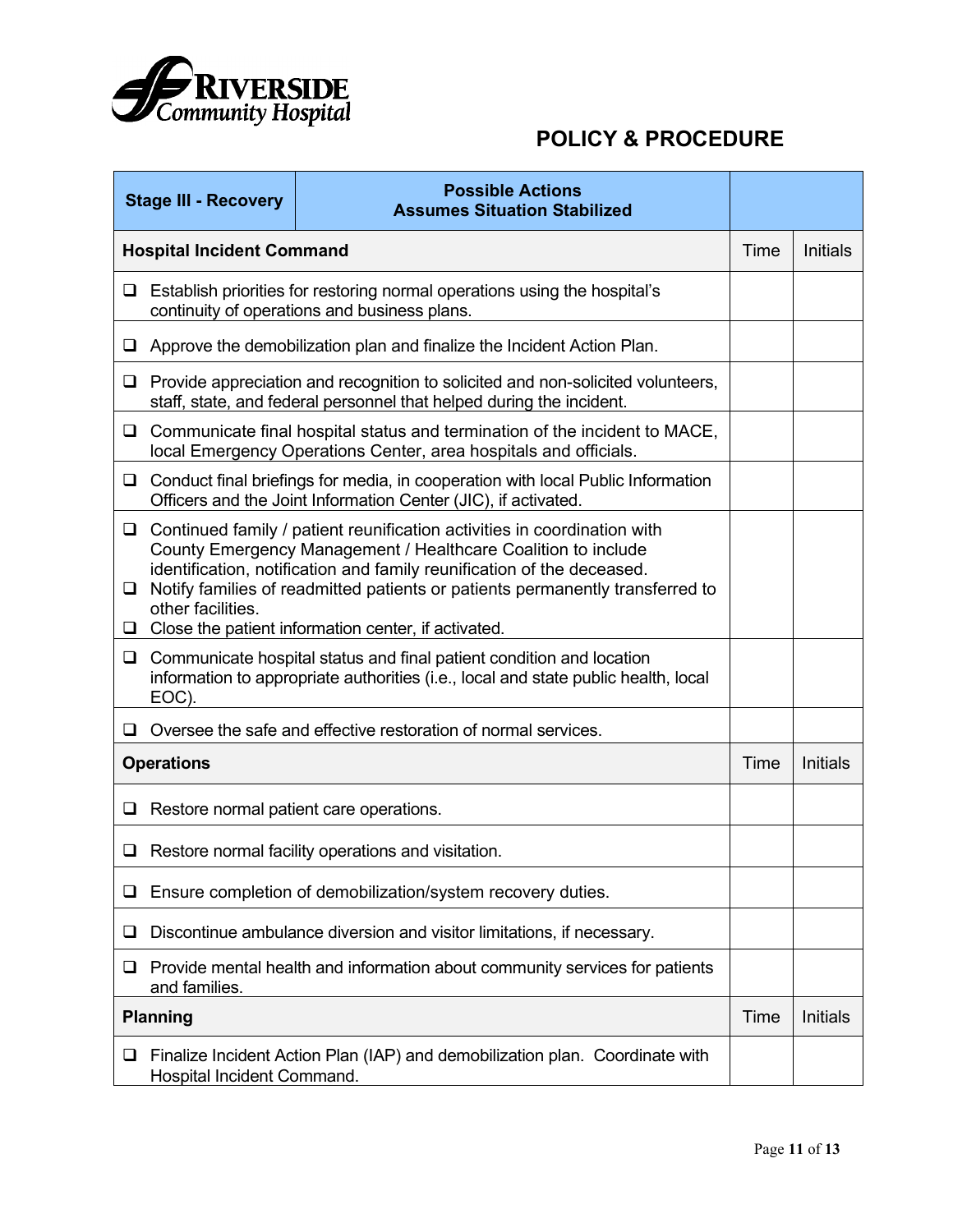

|                  | <b>Possible Actions</b><br><b>Stage III - Recovery</b><br><b>Assumes Situation Stabilized</b>                                                                                                                                                                                                                                                                                    |                                                                                                                                                         |      |                 |
|------------------|----------------------------------------------------------------------------------------------------------------------------------------------------------------------------------------------------------------------------------------------------------------------------------------------------------------------------------------------------------------------------------|---------------------------------------------------------------------------------------------------------------------------------------------------------|------|-----------------|
|                  | <b>Hospital Incident Command</b>                                                                                                                                                                                                                                                                                                                                                 |                                                                                                                                                         | Time | <b>Initials</b> |
| ❏                |                                                                                                                                                                                                                                                                                                                                                                                  | Establish priorities for restoring normal operations using the hospital's<br>continuity of operations and business plans.                               |      |                 |
| ❏                |                                                                                                                                                                                                                                                                                                                                                                                  | Approve the demobilization plan and finalize the Incident Action Plan.                                                                                  |      |                 |
| ❏                |                                                                                                                                                                                                                                                                                                                                                                                  | Provide appreciation and recognition to solicited and non-solicited volunteers,<br>staff, state, and federal personnel that helped during the incident. |      |                 |
| $\Box$           |                                                                                                                                                                                                                                                                                                                                                                                  | Communicate final hospital status and termination of the incident to MACE,<br>local Emergency Operations Center, area hospitals and officials.          |      |                 |
| ⊔                |                                                                                                                                                                                                                                                                                                                                                                                  | Conduct final briefings for media, in cooperation with local Public Information<br>Officers and the Joint Information Center (JIC), if activated.       |      |                 |
| $\Box$<br>❏<br>❏ | Continued family / patient reunification activities in coordination with<br>County Emergency Management / Healthcare Coalition to include<br>identification, notification and family reunification of the deceased.<br>Notify families of readmitted patients or patients permanently transferred to<br>other facilities.<br>Close the patient information center, if activated. |                                                                                                                                                         |      |                 |
|                  | Communicate hospital status and final patient condition and location<br>$\Box$<br>information to appropriate authorities (i.e., local and state public health, local<br>EOC).                                                                                                                                                                                                    |                                                                                                                                                         |      |                 |
| ⊔                |                                                                                                                                                                                                                                                                                                                                                                                  | Oversee the safe and effective restoration of normal services.                                                                                          |      |                 |
|                  | <b>Operations</b>                                                                                                                                                                                                                                                                                                                                                                |                                                                                                                                                         | Time | <b>Initials</b> |
| ⊔                |                                                                                                                                                                                                                                                                                                                                                                                  | Restore normal patient care operations.                                                                                                                 |      |                 |
| ❏                |                                                                                                                                                                                                                                                                                                                                                                                  | Restore normal facility operations and visitation.                                                                                                      |      |                 |
| ⊔                |                                                                                                                                                                                                                                                                                                                                                                                  | Ensure completion of demobilization/system recovery duties.                                                                                             |      |                 |
| ❏                |                                                                                                                                                                                                                                                                                                                                                                                  | Discontinue ambulance diversion and visitor limitations, if necessary.                                                                                  |      |                 |
| ⊔                | Provide mental health and information about community services for patients<br>and families.                                                                                                                                                                                                                                                                                     |                                                                                                                                                         |      |                 |
|                  | <b>Planning</b>                                                                                                                                                                                                                                                                                                                                                                  |                                                                                                                                                         | Time | Initials        |
| ❏                | Hospital Incident Command.                                                                                                                                                                                                                                                                                                                                                       | Finalize Incident Action Plan (IAP) and demobilization plan. Coordinate with                                                                            |      |                 |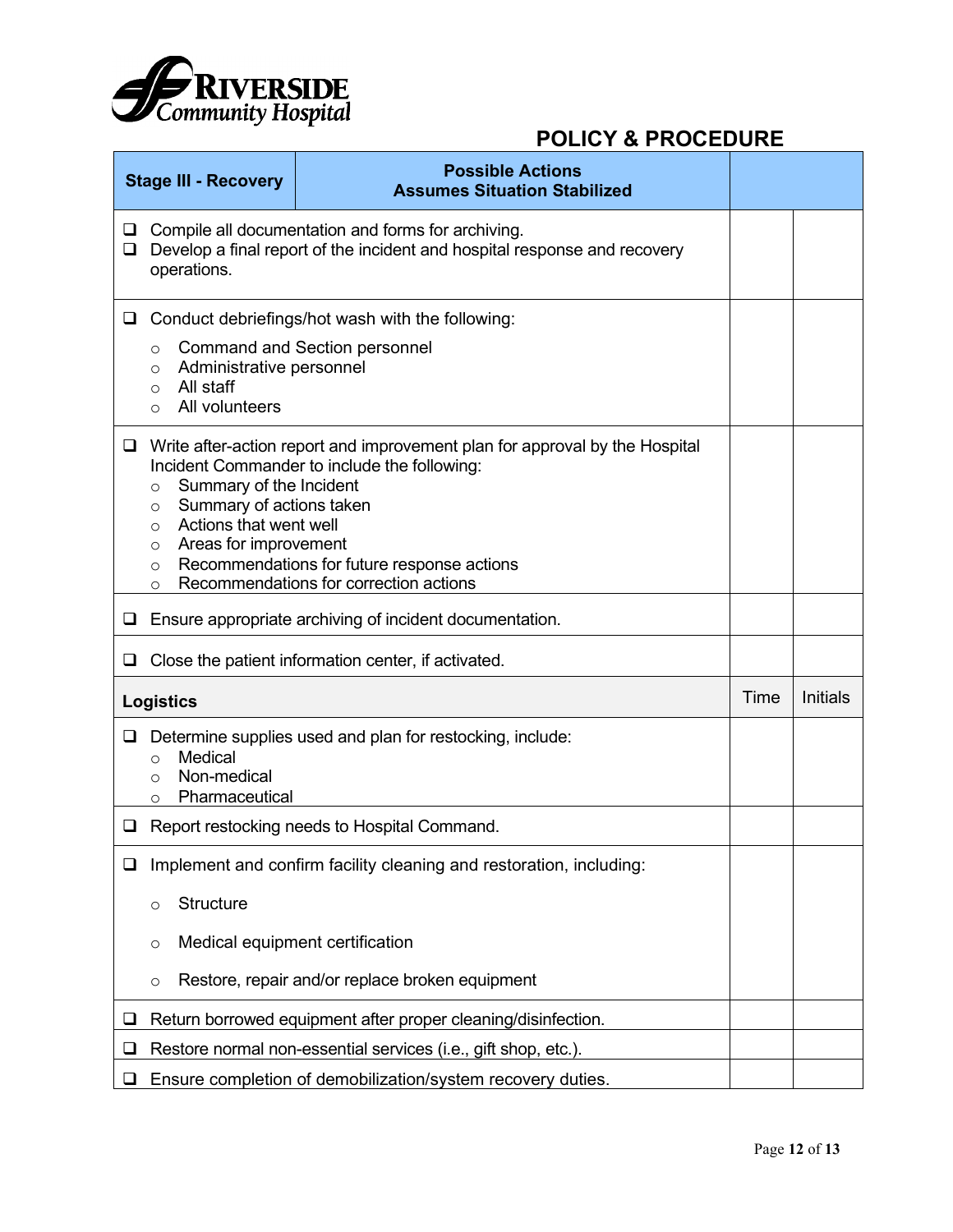

| <b>Possible Actions</b><br><b>Stage III - Recovery</b><br><b>Assumes Situation Stabilized</b> |                                                                                                                                                                                                                                                                                                                                                                                      |                                                                     |      |                 |  |
|-----------------------------------------------------------------------------------------------|--------------------------------------------------------------------------------------------------------------------------------------------------------------------------------------------------------------------------------------------------------------------------------------------------------------------------------------------------------------------------------------|---------------------------------------------------------------------|------|-----------------|--|
| □<br>$\Box$                                                                                   | Compile all documentation and forms for archiving.<br>Develop a final report of the incident and hospital response and recovery<br>operations.                                                                                                                                                                                                                                       |                                                                     |      |                 |  |
| ⊔                                                                                             | Conduct debriefings/hot wash with the following:<br><b>Command and Section personnel</b><br>O<br>Administrative personnel<br>$\circ$<br>All staff<br>$\Omega$<br>All volunteers<br>$\Omega$                                                                                                                                                                                          |                                                                     |      |                 |  |
| $\Box$                                                                                        | Write after-action report and improvement plan for approval by the Hospital<br>Incident Commander to include the following:<br>Summary of the Incident<br>$\circ$<br>Summary of actions taken<br>O<br>Actions that went well<br>$\circ$<br>Areas for improvement<br>O<br>Recommendations for future response actions<br>$\circ$<br>Recommendations for correction actions<br>$\circ$ |                                                                     |      |                 |  |
| □                                                                                             | Ensure appropriate archiving of incident documentation.                                                                                                                                                                                                                                                                                                                              |                                                                     |      |                 |  |
| ❏                                                                                             | Close the patient information center, if activated.                                                                                                                                                                                                                                                                                                                                  |                                                                     |      |                 |  |
|                                                                                               | <b>Logistics</b>                                                                                                                                                                                                                                                                                                                                                                     |                                                                     | Time | <b>Initials</b> |  |
| ❏                                                                                             | Medical<br>$\Omega$<br>Non-medical<br>$\Omega$<br>Pharmaceutical<br>$\Omega$                                                                                                                                                                                                                                                                                                         | Determine supplies used and plan for restocking, include:           |      |                 |  |
| $\Box$                                                                                        |                                                                                                                                                                                                                                                                                                                                                                                      | Report restocking needs to Hospital Command.                        |      |                 |  |
| $\Box$                                                                                        |                                                                                                                                                                                                                                                                                                                                                                                      | Implement and confirm facility cleaning and restoration, including: |      |                 |  |
|                                                                                               | <b>Structure</b><br>$\circ$                                                                                                                                                                                                                                                                                                                                                          |                                                                     |      |                 |  |
|                                                                                               | $\circ$                                                                                                                                                                                                                                                                                                                                                                              | Medical equipment certification                                     |      |                 |  |
|                                                                                               | $\circ$                                                                                                                                                                                                                                                                                                                                                                              | Restore, repair and/or replace broken equipment                     |      |                 |  |
| ⊔                                                                                             | Return borrowed equipment after proper cleaning/disinfection.                                                                                                                                                                                                                                                                                                                        |                                                                     |      |                 |  |
| ப                                                                                             | Restore normal non-essential services (i.e., gift shop, etc.).                                                                                                                                                                                                                                                                                                                       |                                                                     |      |                 |  |
| ❏                                                                                             | Ensure completion of demobilization/system recovery duties.                                                                                                                                                                                                                                                                                                                          |                                                                     |      |                 |  |